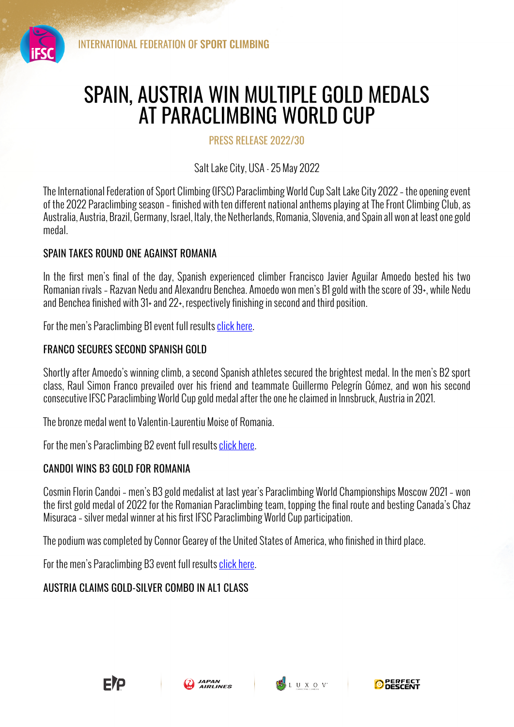

# SPAIN, AUSTRIA WIN MULTIPLE GOLD MEDALS AT PARACLIMBING WORLD CUP

PRESS RELEASE 2022/30

Salt Lake City, USA - 25 May 2022

The International Federation of Sport Climbing (IFSC) Paraclimbing World Cup Salt Lake City 2022 – the opening event of the 2022 Paraclimbing season – finished with ten different national anthems playing at The Front Climbing Club, as Australia, Austria, Brazil, Germany, Israel, Italy, the Netherlands, Romania, Slovenia, and Spain all won at least one gold medal.

## SPAIN TAKES ROUND ONE AGAINST ROMANIA

In the first men's final of the day, Spanish experienced climber Francisco Javier Aguilar Amoedo bested his two Romanian rivals – Razvan Nedu and Alexandru Benchea. Amoedo won men's B1 gold with the score of 39+, while Nedu and Benchea finished with 31+ and 22+, respectively finishing in second and third position.

For the men's Paraclimbing B1 event full results click here.

### FRANCO SECURES SECOND SPANISH GOLD

Shortly after Amoedo's winning climb, a second Spanish athletes secured the brightest medal. In the men's B2 sport class, Raul Simon Franco prevailed over his friend and teammate Guillermo Pelegrín Gómez, and won his second consecutive IFSC Paraclimbing World Cup gold medal after the one he claimed in Innsbruck, Austria in 2021.

The bronze medal went to Valentin-Laurentiu Moise of Romania.

For the men's Paraclimbing B2 event full results click here.

#### CANDOI WINS B3 GOLD FOR ROMANIA

Cosmin Florin Candoi – men's B3 gold medalist at last year's Paraclimbing World Championships Moscow 2021 – won the first gold medal of 2022 for the Romanian Paraclimbing team, topping the final route and besting Canada's Chaz Misuraca – silver medal winner at his first IFSC Paraclimbing World Cup participation.

The podium was completed by Connor Gearey of the United States of America, who finished in third place.

For the men's Paraclimbing B3 event full results click here.

## AUSTRIA CLAIMS GOLD-SILVER COMBO IN AL1 CLASS





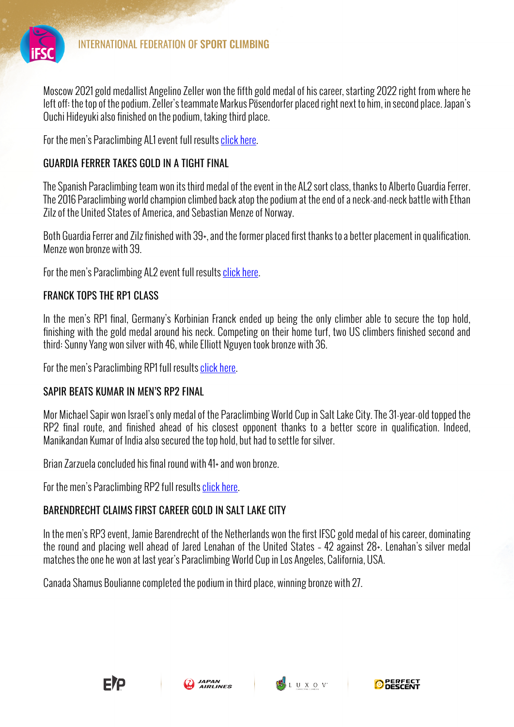

Moscow 2021 gold medallist Angelino Zeller won the fifth gold medal of his career, starting 2022 right from where he left off: the top of the podium. Zeller's teammate Markus Pösendorfer placed right next to him, in second place. Japan's Ouchi Hideyuki also finished on the podium, taking third place.

For the men's Paraclimbing AL1 event full results click here.

#### GUARDIA FERRER TAKES GOLD IN A TIGHT FINAL

The Spanish Paraclimbing team won its third medal of the event in the AL2 sort class, thanks to Alberto Guardia Ferrer. The 2016 Paraclimbing world champion climbed back atop the podium at the end of a neck-and-neck battle with Ethan Zilz of the United States of America, and Sebastian Menze of Norway.

Both Guardia Ferrer and Zilz finished with 39+, and the former placed first thanks to a better placement in qualification. Menze won bronze with 39.

For the men's Paraclimbing AL2 event full results click here.

### FRANCK TOPS THE RP1 CLASS

In the men's RP1 final, Germany's Korbinian Franck ended up being the only climber able to secure the top hold, finishing with the gold medal around his neck. Competing on their home turf, two US climbers finished second and third: Sunny Yang won silver with 46, while Elliott Nguyen took bronze with 36.

For the men's Paraclimbing RP1 full results click here.

#### SAPIR BEATS KUMAR IN MEN'S RP2 FINAL

Mor Michael Sapir won Israel's only medal of the Paraclimbing World Cup in Salt Lake City. The 31-year-old topped the RP2 final route, and finished ahead of his closest opponent thanks to a better score in qualification. Indeed, Manikandan Kumar of India also secured the top hold, but had to settle for silver.

Brian Zarzuela concluded his final round with 41+ and won bronze.

For the men's Paraclimbing RP2 full results click here.

## BARENDRECHT CLAIMS FIRST CAREER GOLD IN SALT LAKE CITY

In the men's RP3 event, Jamie Barendrecht of the Netherlands won the first IFSC gold medal of his career, dominating the round and placing well ahead of Jared Lenahan of the United States – 42 against 28+. Lenahan's silver medal matches the one he won at last year's Paraclimbing World Cup in Los Angeles, California, USA.

Canada Shamus Boulianne completed the podium in third place, winning bronze with 27.





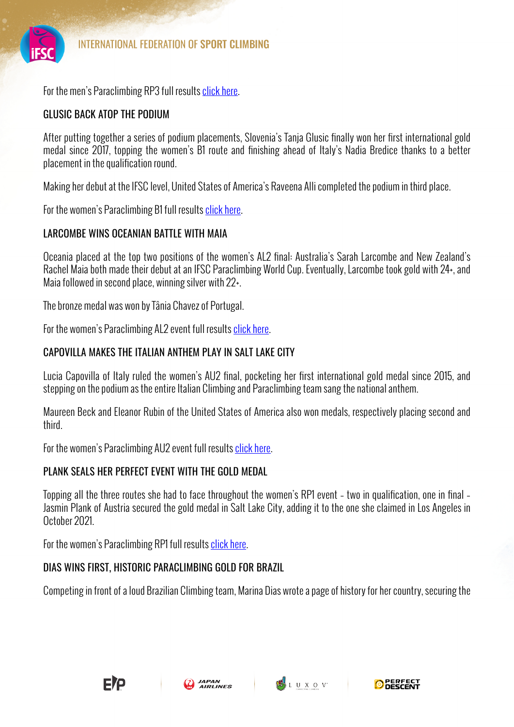

For the men's Paraclimbing RP3 full results click here.

## GLUSIC BACK ATOP THE PODIUM

After putting together a series of podium placements, Slovenia's Tanja Glusic finally won her first international gold medal since 2017, topping the women's B1 route and finishing ahead of Italy's Nadia Bredice thanks to a better placement in the qualification round.

Making her debut at the IFSC level, United States of America's Raveena Alli completed the podium in third place.

For the women's Paraclimbing B1 full results click here.

## LARCOMBE WINS OCFANIAN BATTLE WITH MAIA

Oceania placed at the top two positions of the women's AL2 final: Australia's Sarah Larcombe and New Zealand's Rachel Maia both made their debut at an IFSC Paraclimbing World Cup. Eventually, Larcombe took gold with 24+, and Maia followed in second place, winning silver with 22+.

The bronze medal was won by Tânia Chavez of Portugal.

For the women's Paraclimbing AL2 event full results click here.

## CAPOVILLA MAKES THE ITALIAN ANTHEM PLAY IN SALT LAKE CITY

Lucia Capovilla of Italy ruled the women's AU2 final, pocketing her first international gold medal since 2015, and stepping on the podium as the entire Italian Climbing and Paraclimbing team sang the national anthem.

Maureen Beck and Eleanor Rubin of the United States of America also won medals, respectively placing second and third.

For the women's Paraclimbing AU2 event full results click here.

# PLANK SEALS HER PERFECT EVENT WITH THE GOLD MEDAL

Topping all the three routes she had to face throughout the women's RP1 event – two in qualification, one in final – Jasmin Plank of Austria secured the gold medal in Salt Lake City, adding it to the one she claimed in Los Angeles in October 2021.

For the women's Paraclimbing RP1 full results click here.

# DIAS WINS FIRST, HISTORIC PARACLIMBING GOLD FOR BRAZIL

Competing in front of a loud Brazilian Climbing team, Marina Dias wrote a page of history for her country, securing the